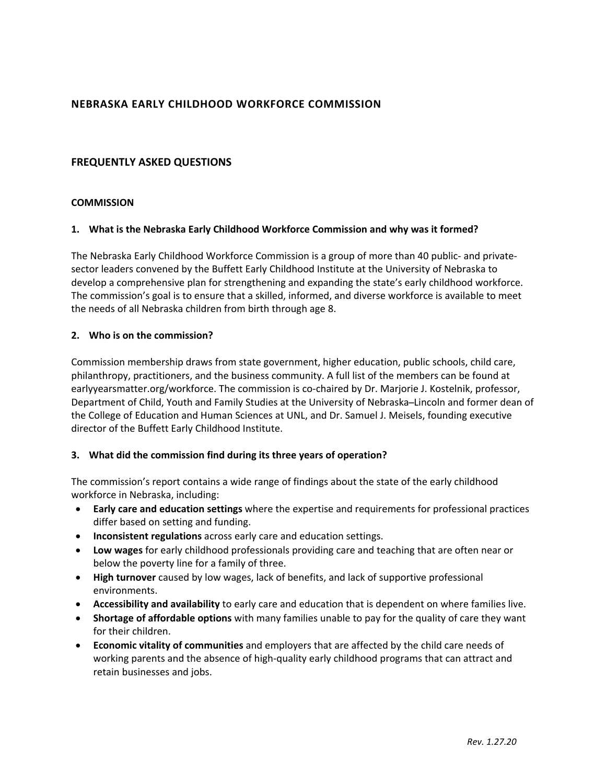## **NEBRASKA EARLY CHILDHOOD WORKFORCE COMMISSION**

## **FREQUENTLY ASKED QUESTIONS**

#### **COMMISSION**

#### **1. What is the Nebraska Early Childhood Workforce Commission and why was it formed?**

The Nebraska Early Childhood Workforce Commission is a group of more than 40 public- and privatesector leaders convened by the Buffett Early Childhood Institute at the University of Nebraska to develop a comprehensive plan for strengthening and expanding the state's early childhood workforce. The commission's goal is to ensure that a skilled, informed, and diverse workforce is available to meet the needs of all Nebraska children from birth through age 8.

#### **2. Who is on the commission?**

Commission membership draws from state government, higher education, public schools, child care, philanthropy, practitioners, and the business community. A full list of the members can be found at earlyyearsmatter.org/workforce. The commission is co-chaired by Dr. Marjorie J. Kostelnik, professor, Department of Child, Youth and Family Studies at the University of Nebraska–Lincoln and former dean of the College of Education and Human Sciences at UNL, and Dr. Samuel J. Meisels, founding executive director of the Buffett Early Childhood Institute.

#### **3. What did the commission find during its three years of operation?**

The commission's report contains a wide range of findings about the state of the early childhood workforce in Nebraska, including:

- **Early care and education settings** where the expertise and requirements for professional practices differ based on setting and funding.
- **Inconsistent regulations** across early care and education settings.
- **Low wages** for early childhood professionals providing care and teaching that are often near or below the poverty line for a family of three.
- **High turnover** caused by low wages, lack of benefits, and lack of supportive professional environments.
- **Accessibility and availability** to early care and education that is dependent on where families live.
- **Shortage of affordable options** with many families unable to pay for the quality of care they want for their children.
- **Economic vitality of communities** and employers that are affected by the child care needs of working parents and the absence of high-quality early childhood programs that can attract and retain businesses and jobs.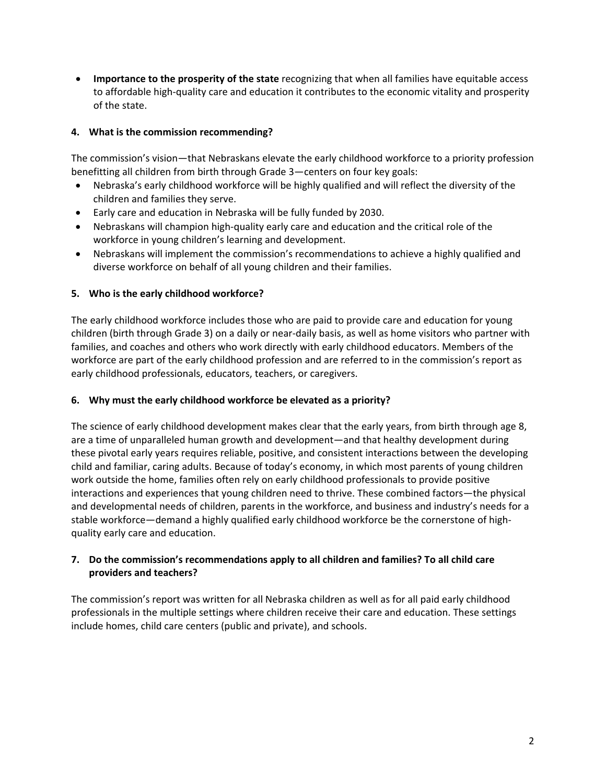**Importance to the prosperity of the state** recognizing that when all families have equitable access to affordable high‐quality care and education it contributes to the economic vitality and prosperity of the state.

### **4. What is the commission recommending?**

The commission's vision—that Nebraskans elevate the early childhood workforce to a priority profession benefitting all children from birth through Grade 3—centers on four key goals:

- Nebraska's early childhood workforce will be highly qualified and will reflect the diversity of the children and families they serve.
- Early care and education in Nebraska will be fully funded by 2030.
- Nebraskans will champion high-quality early care and education and the critical role of the workforce in young children's learning and development.
- Nebraskans will implement the commission's recommendations to achieve a highly qualified and diverse workforce on behalf of all young children and their families.

### **5. Who is the early childhood workforce?**

The early childhood workforce includes those who are paid to provide care and education for young children (birth through Grade 3) on a daily or near‐daily basis, as well as home visitors who partner with families, and coaches and others who work directly with early childhood educators. Members of the workforce are part of the early childhood profession and are referred to in the commission's report as early childhood professionals, educators, teachers, or caregivers.

#### **6. Why must the early childhood workforce be elevated as a priority?**

The science of early childhood development makes clear that the early years, from birth through age 8, are a time of unparalleled human growth and development—and that healthy development during these pivotal early years requires reliable, positive, and consistent interactions between the developing child and familiar, caring adults. Because of today's economy, in which most parents of young children work outside the home, families often rely on early childhood professionals to provide positive interactions and experiences that young children need to thrive. These combined factors—the physical and developmental needs of children, parents in the workforce, and business and industry's needs for a stable workforce—demand a highly qualified early childhood workforce be the cornerstone of high‐ quality early care and education.

### **7. Do the commission's recommendations apply to all children and families? To all child care providers and teachers?**

The commission's report was written for all Nebraska children as well as for all paid early childhood professionals in the multiple settings where children receive their care and education. These settings include homes, child care centers (public and private), and schools.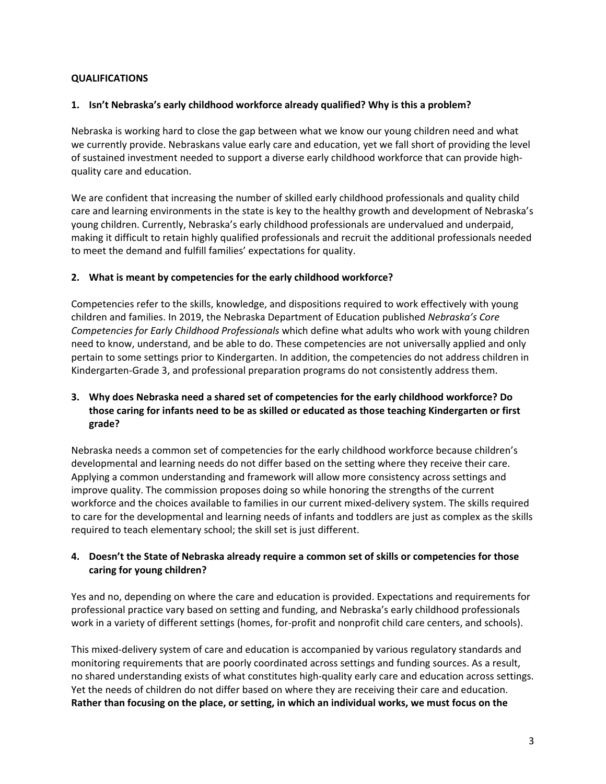## **QUALIFICATIONS**

#### **1. Isn't Nebraska's early childhood workforce already qualified? Why is this a problem?**

Nebraska is working hard to close the gap between what we know our young children need and what we currently provide. Nebraskans value early care and education, yet we fall short of providing the level of sustained investment needed to support a diverse early childhood workforce that can provide high‐ quality care and education.

We are confident that increasing the number of skilled early childhood professionals and quality child care and learning environments in the state is key to the healthy growth and development of Nebraska's young children. Currently, Nebraska's early childhood professionals are undervalued and underpaid, making it difficult to retain highly qualified professionals and recruit the additional professionals needed to meet the demand and fulfill families' expectations for quality.

### **2. What is meant by competencies for the early childhood workforce?**

Competencies refer to the skills, knowledge, and dispositions required to work effectively with young children and families. In 2019, the Nebraska Department of Education published *Nebraska's Core Competencies for Early Childhood Professionals* which define what adults who work with young children need to know, understand, and be able to do. These competencies are not universally applied and only pertain to some settings prior to Kindergarten. In addition, the competencies do not address children in Kindergarten‐Grade 3, and professional preparation programs do not consistently address them.

### **3. Why does Nebraska need a shared set of competencies for the early childhood workforce? Do those caring for infants need to be as skilled or educated as those teaching Kindergarten or first grade?**

Nebraska needs a common set of competencies for the early childhood workforce because children's developmental and learning needs do not differ based on the setting where they receive their care. Applying a common understanding and framework will allow more consistency across settings and improve quality. The commission proposes doing so while honoring the strengths of the current workforce and the choices available to families in our current mixed-delivery system. The skills required to care for the developmental and learning needs of infants and toddlers are just as complex as the skills required to teach elementary school; the skill set is just different.

### **4. Doesn't the State of Nebraska already require a common set of skills or competencies for those caring for young children?**

Yes and no, depending on where the care and education is provided. Expectations and requirements for professional practice vary based on setting and funding, and Nebraska's early childhood professionals work in a variety of different settings (homes, for-profit and nonprofit child care centers, and schools).

This mixed‐delivery system of care and education is accompanied by various regulatory standards and monitoring requirements that are poorly coordinated across settings and funding sources. As a result, no shared understanding exists of what constitutes high-quality early care and education across settings. Yet the needs of children do not differ based on where they are receiving their care and education. **Rather than focusing on the place, or setting, in which an individual works, we must focus on the**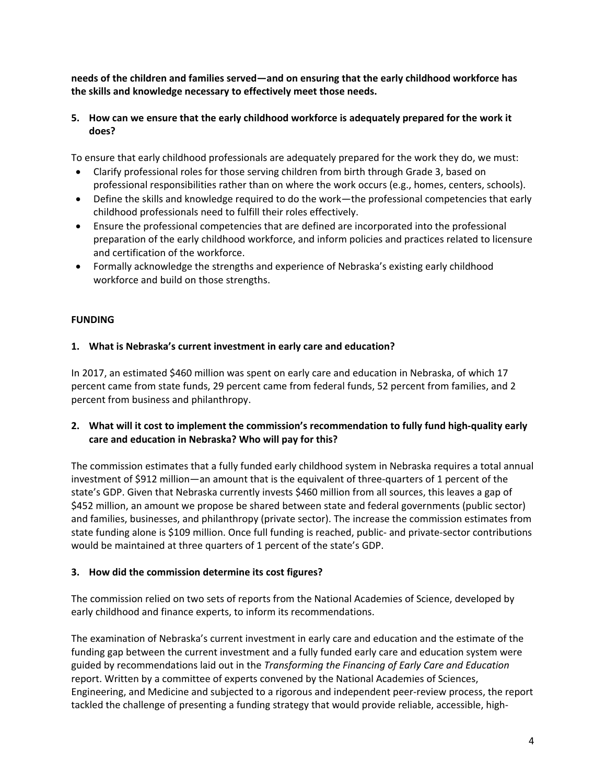**needs of the children and families served—and on ensuring that the early childhood workforce has the skills and knowledge necessary to effectively meet those needs.** 

### **5. How can we ensure that the early childhood workforce is adequately prepared for the work it does?**

To ensure that early childhood professionals are adequately prepared for the work they do, we must:

- Clarify professional roles for those serving children from birth through Grade 3, based on professional responsibilities rather than on where the work occurs (e.g., homes, centers, schools).
- Define the skills and knowledge required to do the work—the professional competencies that early childhood professionals need to fulfill their roles effectively.
- Ensure the professional competencies that are defined are incorporated into the professional preparation of the early childhood workforce, and inform policies and practices related to licensure and certification of the workforce.
- Formally acknowledge the strengths and experience of Nebraska's existing early childhood workforce and build on those strengths.

## **FUNDING**

### **1. What is Nebraska's current investment in early care and education?**

In 2017, an estimated \$460 million was spent on early care and education in Nebraska, of which 17 percent came from state funds, 29 percent came from federal funds, 52 percent from families, and 2 percent from business and philanthropy.

### **2. What will it cost to implement the commission's recommendation to fully fund high‐quality early care and education in Nebraska? Who will pay for this?**

The commission estimates that a fully funded early childhood system in Nebraska requires a total annual investment of \$912 million—an amount that is the equivalent of three‐quarters of 1 percent of the state's GDP. Given that Nebraska currently invests \$460 million from all sources, this leaves a gap of \$452 million, an amount we propose be shared between state and federal governments (public sector) and families, businesses, and philanthropy (private sector). The increase the commission estimates from state funding alone is \$109 million. Once full funding is reached, public‐ and private‐sector contributions would be maintained at three quarters of 1 percent of the state's GDP.

#### **3. How did the commission determine its cost figures?**

The commission relied on two sets of reports from the National Academies of Science, developed by early childhood and finance experts, to inform its recommendations.

The examination of Nebraska's current investment in early care and education and the estimate of the funding gap between the current investment and a fully funded early care and education system were guided by recommendations laid out in the *Transforming the Financing of Early Care and Education*  report. Written by a committee of experts convened by the National Academies of Sciences, Engineering, and Medicine and subjected to a rigorous and independent peer‐review process, the report tackled the challenge of presenting a funding strategy that would provide reliable, accessible, high‐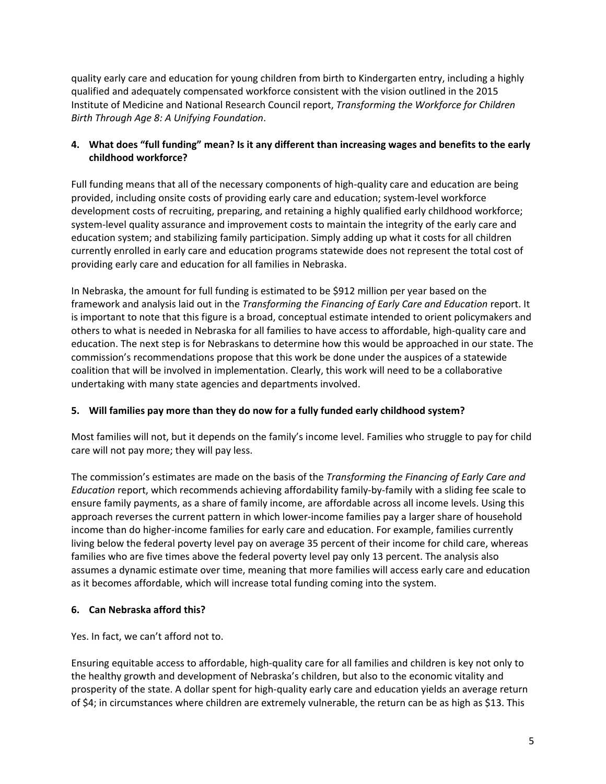quality early care and education for young children from birth to Kindergarten entry, including a highly qualified and adequately compensated workforce consistent with the vision outlined in the 2015 Institute of Medicine and National Research Council report, *Transforming the Workforce for Children Birth Through Age 8: A Unifying Foundation*.

## **4. What does "full funding" mean? Is it any different than increasing wages and benefits to the early childhood workforce?**

Full funding means that all of the necessary components of high‐quality care and education are being provided, including onsite costs of providing early care and education; system‐level workforce development costs of recruiting, preparing, and retaining a highly qualified early childhood workforce; system-level quality assurance and improvement costs to maintain the integrity of the early care and education system; and stabilizing family participation. Simply adding up what it costs for all children currently enrolled in early care and education programs statewide does not represent the total cost of providing early care and education for all families in Nebraska.

In Nebraska, the amount for full funding is estimated to be \$912 million per year based on the framework and analysis laid out in the *Transforming the Financing of Early Care and Education* report. It is important to note that this figure is a broad, conceptual estimate intended to orient policymakers and others to what is needed in Nebraska for all families to have access to affordable, high‐quality care and education. The next step is for Nebraskans to determine how this would be approached in our state. The commission's recommendations propose that this work be done under the auspices of a statewide coalition that will be involved in implementation. Clearly, this work will need to be a collaborative undertaking with many state agencies and departments involved.

## **5. Will families pay more than they do now for a fully funded early childhood system?**

Most families will not, but it depends on the family's income level. Families who struggle to pay for child care will not pay more; they will pay less.

The commission's estimates are made on the basis of the *Transforming the Financing of Early Care and Education* report, which recommends achieving affordability family‐by‐family with a sliding fee scale to ensure family payments, as a share of family income, are affordable across all income levels. Using this approach reverses the current pattern in which lower-income families pay a larger share of household income than do higher-income families for early care and education. For example, families currently living below the federal poverty level pay on average 35 percent of their income for child care, whereas families who are five times above the federal poverty level pay only 13 percent. The analysis also assumes a dynamic estimate over time, meaning that more families will access early care and education as it becomes affordable, which will increase total funding coming into the system.

# **6. Can Nebraska afford this?**

Yes. In fact, we can't afford not to.

Ensuring equitable access to affordable, high‐quality care for all families and children is key not only to the healthy growth and development of Nebraska's children, but also to the economic vitality and prosperity of the state. A dollar spent for high-quality early care and education yields an average return of \$4; in circumstances where children are extremely vulnerable, the return can be as high as \$13. This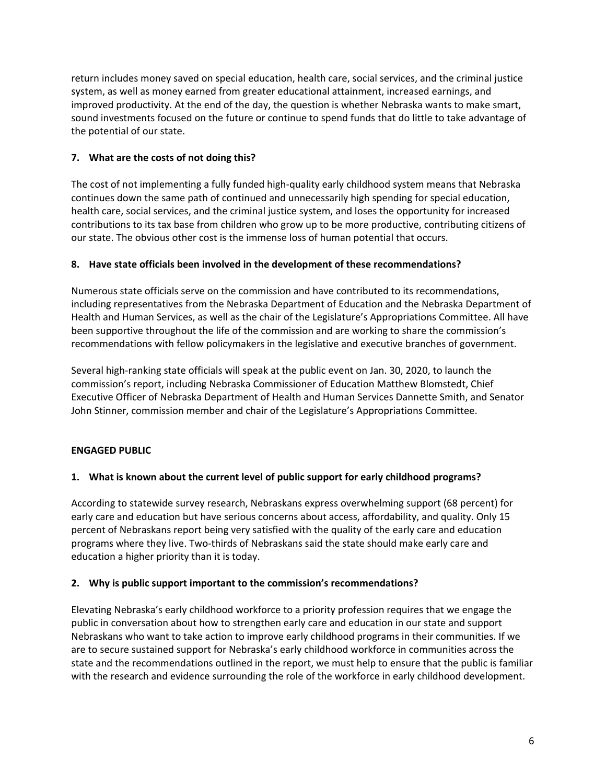return includes money saved on special education, health care, social services, and the criminal justice system, as well as money earned from greater educational attainment, increased earnings, and improved productivity. At the end of the day, the question is whether Nebraska wants to make smart, sound investments focused on the future or continue to spend funds that do little to take advantage of the potential of our state.

# **7. What are the costs of not doing this?**

The cost of not implementing a fully funded high-quality early childhood system means that Nebraska continues down the same path of continued and unnecessarily high spending for special education, health care, social services, and the criminal justice system, and loses the opportunity for increased contributions to its tax base from children who grow up to be more productive, contributing citizens of our state. The obvious other cost is the immense loss of human potential that occurs.

## **8. Have state officials been involved in the development of these recommendations?**

Numerous state officials serve on the commission and have contributed to its recommendations, including representatives from the Nebraska Department of Education and the Nebraska Department of Health and Human Services, as well as the chair of the Legislature's Appropriations Committee. All have been supportive throughout the life of the commission and are working to share the commission's recommendations with fellow policymakers in the legislative and executive branches of government.

Several high-ranking state officials will speak at the public event on Jan. 30, 2020, to launch the commission's report, including Nebraska Commissioner of Education Matthew Blomstedt, Chief Executive Officer of Nebraska Department of Health and Human Services Dannette Smith, and Senator John Stinner, commission member and chair of the Legislature's Appropriations Committee.

# **ENGAGED PUBLIC**

## **1. What is known about the current level of public support for early childhood programs?**

According to statewide survey research, Nebraskans express overwhelming support (68 percent) for early care and education but have serious concerns about access, affordability, and quality. Only 15 percent of Nebraskans report being very satisfied with the quality of the early care and education programs where they live. Two-thirds of Nebraskans said the state should make early care and education a higher priority than it is today.

## **2. Why is public support important to the commission's recommendations?**

Elevating Nebraska's early childhood workforce to a priority profession requires that we engage the public in conversation about how to strengthen early care and education in our state and support Nebraskans who want to take action to improve early childhood programs in their communities. If we are to secure sustained support for Nebraska's early childhood workforce in communities across the state and the recommendations outlined in the report, we must help to ensure that the public is familiar with the research and evidence surrounding the role of the workforce in early childhood development.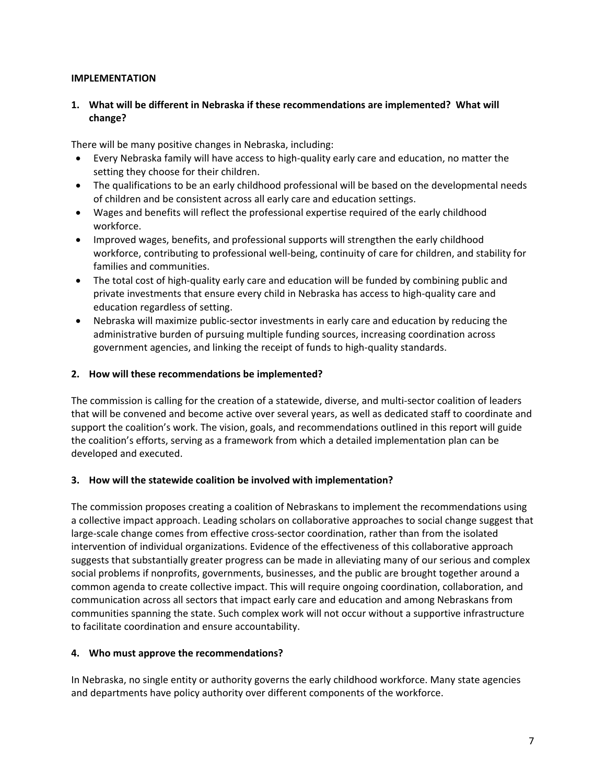#### **IMPLEMENTATION**

### **1. What will be different in Nebraska if these recommendations are implemented? What will change?**

There will be many positive changes in Nebraska, including:

- Every Nebraska family will have access to high‐quality early care and education, no matter the setting they choose for their children.
- The qualifications to be an early childhood professional will be based on the developmental needs of children and be consistent across all early care and education settings.
- Wages and benefits will reflect the professional expertise required of the early childhood workforce.
- Improved wages, benefits, and professional supports will strengthen the early childhood workforce, contributing to professional well‐being, continuity of care for children, and stability for families and communities.
- The total cost of high-quality early care and education will be funded by combining public and private investments that ensure every child in Nebraska has access to high‐quality care and education regardless of setting.
- Nebraska will maximize public‐sector investments in early care and education by reducing the administrative burden of pursuing multiple funding sources, increasing coordination across government agencies, and linking the receipt of funds to high‐quality standards.

#### **2. How will these recommendations be implemented?**

The commission is calling for the creation of a statewide, diverse, and multi-sector coalition of leaders that will be convened and become active over several years, as well as dedicated staff to coordinate and support the coalition's work. The vision, goals, and recommendations outlined in this report will guide the coalition's efforts, serving as a framework from which a detailed implementation plan can be developed and executed.

#### **3. How will the statewide coalition be involved with implementation?**

The commission proposes creating a coalition of Nebraskans to implement the recommendations using a collective impact approach. Leading scholars on collaborative approaches to social change suggest that large-scale change comes from effective cross-sector coordination, rather than from the isolated intervention of individual organizations. Evidence of the effectiveness of this collaborative approach suggests that substantially greater progress can be made in alleviating many of our serious and complex social problems if nonprofits, governments, businesses, and the public are brought together around a common agenda to create collective impact. This will require ongoing coordination, collaboration, and communication across all sectors that impact early care and education and among Nebraskans from communities spanning the state. Such complex work will not occur without a supportive infrastructure to facilitate coordination and ensure accountability.

#### **4. Who must approve the recommendations?**

In Nebraska, no single entity or authority governs the early childhood workforce. Many state agencies and departments have policy authority over different components of the workforce.